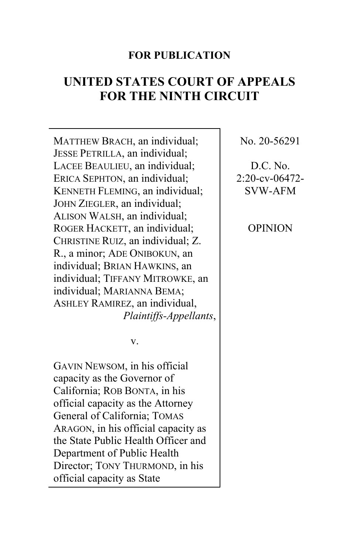## **FOR PUBLICATION**

# **UNITED STATES COURT OF APPEALS FOR THE NINTH CIRCUIT**

MATTHEW BRACH, an individual; JESSE PETRILLA, an individual; LACEE BEAULIEU, an individual; ERICA SEPHTON, an individual; KENNETH FLEMING, an individual; JOHN ZIEGLER, an individual; ALISON WALSH, an individual; ROGER HACKETT, an individual; CHRISTINE RUIZ, an individual; Z. R., a minor; ADE ONIBOKUN, an individual; BRIAN HAWKINS, an individual; TIFFANY MITROWKE, an individual; MARIANNA BEMA; ASHLEY RAMIREZ, an individual, *Plaintiffs-Appellants*,

v.

GAVIN NEWSOM, in his official capacity as the Governor of California; ROB BONTA, in his official capacity as the Attorney General of California; TOMAS ARAGON, in his official capacity as the State Public Health Officer and Department of Public Health Director; TONY THURMOND, in his official capacity as State

No. 20-56291

D.C. No. 2:20-cv-06472- SVW-AFM

OPINION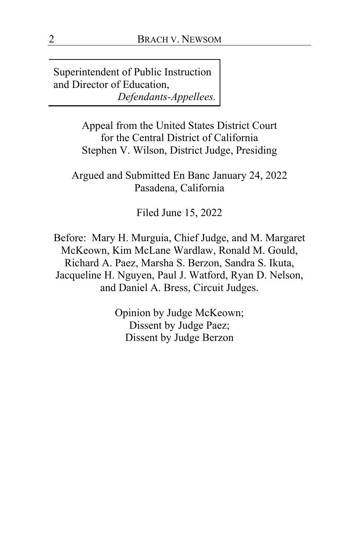Superintendent of Public Instruction and Director of Education, *Defendants-Appellees.*

> Appeal from the United States District Court for the Central District of California Stephen V. Wilson, District Judge, Presiding

Argued and Submitted En Banc January 24, 2022 Pasadena, California

Filed June 15, 2022

Before: Mary H. Murguia, Chief Judge, and M. Margaret McKeown, Kim McLane Wardlaw, Ronald M. Gould, Richard A. Paez, Marsha S. Berzon, Sandra S. Ikuta, Jacqueline H. Nguyen, Paul J. Watford, Ryan D. Nelson, and Daniel A. Bress, Circuit Judges.

> Opinion by Judge McKeown; Dissent by Judge Paez; Dissent by Judge Berzon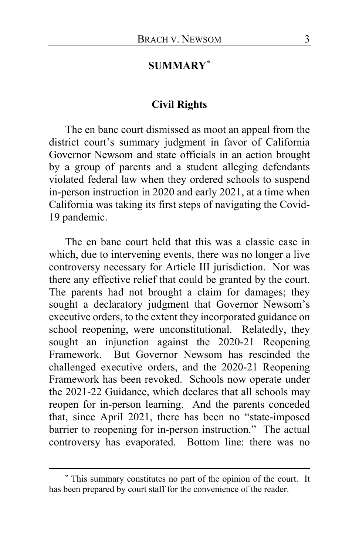## **SUMMARY[\\*](#page-2-0)**

## **Civil Rights**

The en banc court dismissed as moot an appeal from the district court's summary judgment in favor of California Governor Newsom and state officials in an action brought by a group of parents and a student alleging defendants violated federal law when they ordered schools to suspend in-person instruction in 2020 and early 2021, at a time when California was taking its first steps of navigating the Covid-19 pandemic.

The en banc court held that this was a classic case in which, due to intervening events, there was no longer a live controversy necessary for Article III jurisdiction. Nor was there any effective relief that could be granted by the court. The parents had not brought a claim for damages; they sought a declaratory judgment that Governor Newsom's executive orders, to the extent they incorporated guidance on school reopening, were unconstitutional. Relatedly, they sought an injunction against the 2020-21 Reopening Framework. But Governor Newsom has rescinded the challenged executive orders, and the 2020-21 Reopening Framework has been revoked. Schools now operate under the 2021-22 Guidance, which declares that all schools may reopen for in-person learning. And the parents conceded that, since April 2021, there has been no "state-imposed barrier to reopening for in-person instruction." The actual controversy has evaporated. Bottom line: there was no

<span id="page-2-0"></span>**<sup>\*</sup>** This summary constitutes no part of the opinion of the court. It has been prepared by court staff for the convenience of the reader.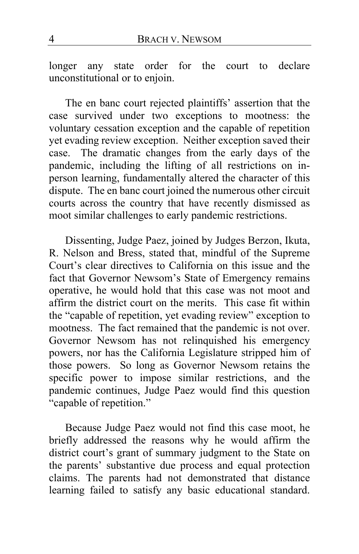longer any state order for the court to declare unconstitutional or to enjoin.

The en banc court rejected plaintiffs' assertion that the case survived under two exceptions to mootness: the voluntary cessation exception and the capable of repetition yet evading review exception. Neither exception saved their case. The dramatic changes from the early days of the pandemic, including the lifting of all restrictions on inperson learning, fundamentally altered the character of this dispute. The en banc court joined the numerous other circuit courts across the country that have recently dismissed as moot similar challenges to early pandemic restrictions.

Dissenting, Judge Paez, joined by Judges Berzon, Ikuta, R. Nelson and Bress, stated that, mindful of the Supreme Court's clear directives to California on this issue and the fact that Governor Newsom's State of Emergency remains operative, he would hold that this case was not moot and affirm the district court on the merits. This case fit within the "capable of repetition, yet evading review" exception to mootness. The fact remained that the pandemic is not over. Governor Newsom has not relinquished his emergency powers, nor has the California Legislature stripped him of those powers. So long as Governor Newsom retains the specific power to impose similar restrictions, and the pandemic continues, Judge Paez would find this question "capable of repetition."

Because Judge Paez would not find this case moot, he briefly addressed the reasons why he would affirm the district court's grant of summary judgment to the State on the parents' substantive due process and equal protection claims. The parents had not demonstrated that distance learning failed to satisfy any basic educational standard.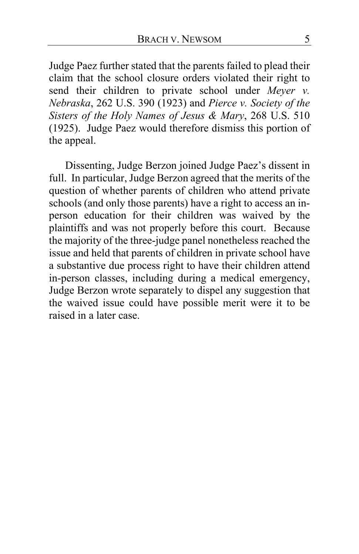Judge Paez further stated that the parents failed to plead their claim that the school closure orders violated their right to send their children to private school under *Meyer v. Nebraska*, 262 U.S. 390 (1923) and *Pierce v. Society of the Sisters of the Holy Names of Jesus & Mary*, 268 U.S. 510 (1925). Judge Paez would therefore dismiss this portion of the appeal.

Dissenting, Judge Berzon joined Judge Paez's dissent in full. In particular, Judge Berzon agreed that the merits of the question of whether parents of children who attend private schools (and only those parents) have a right to access an inperson education for their children was waived by the plaintiffs and was not properly before this court. Because the majority of the three-judge panel nonetheless reached the issue and held that parents of children in private school have a substantive due process right to have their children attend in-person classes, including during a medical emergency, Judge Berzon wrote separately to dispel any suggestion that the waived issue could have possible merit were it to be raised in a later case.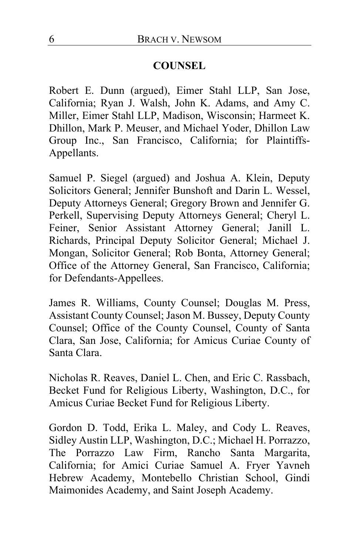## **COUNSEL**

Robert E. Dunn (argued), Eimer Stahl LLP, San Jose, California; Ryan J. Walsh, John K. Adams, and Amy C. Miller, Eimer Stahl LLP, Madison, Wisconsin; Harmeet K. Dhillon, Mark P. Meuser, and Michael Yoder, Dhillon Law Group Inc., San Francisco, California; for Plaintiffs-Appellants.

Samuel P. Siegel (argued) and Joshua A. Klein, Deputy Solicitors General; Jennifer Bunshoft and Darin L. Wessel, Deputy Attorneys General; Gregory Brown and Jennifer G. Perkell, Supervising Deputy Attorneys General; Cheryl L. Feiner, Senior Assistant Attorney General; Janill L. Richards, Principal Deputy Solicitor General; Michael J. Mongan, Solicitor General; Rob Bonta, Attorney General; Office of the Attorney General, San Francisco, California; for Defendants-Appellees.

James R. Williams, County Counsel; Douglas M. Press, Assistant County Counsel; Jason M. Bussey, Deputy County Counsel; Office of the County Counsel, County of Santa Clara, San Jose, California; for Amicus Curiae County of Santa Clara.

Nicholas R. Reaves, Daniel L. Chen, and Eric C. Rassbach, Becket Fund for Religious Liberty, Washington, D.C., for Amicus Curiae Becket Fund for Religious Liberty.

Gordon D. Todd, Erika L. Maley, and Cody L. Reaves, Sidley Austin LLP, Washington, D.C.; Michael H. Porrazzo, The Porrazzo Law Firm, Rancho Santa Margarita, California; for Amici Curiae Samuel A. Fryer Yavneh Hebrew Academy, Montebello Christian School, Gindi Maimonides Academy, and Saint Joseph Academy.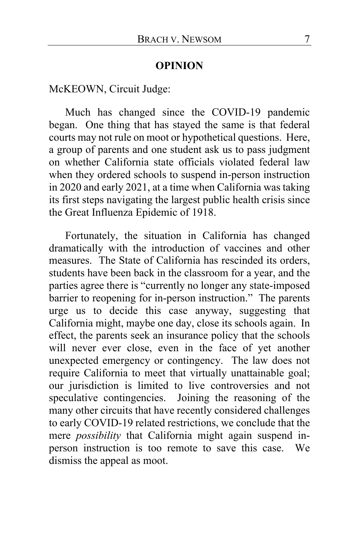#### **OPINION**

McKEOWN, Circuit Judge:

Much has changed since the COVID-19 pandemic began. One thing that has stayed the same is that federal courts may not rule on moot or hypothetical questions. Here, a group of parents and one student ask us to pass judgment on whether California state officials violated federal law when they ordered schools to suspend in-person instruction in 2020 and early 2021, at a time when California was taking its first steps navigating the largest public health crisis since the Great Influenza Epidemic of 1918.

Fortunately, the situation in California has changed dramatically with the introduction of vaccines and other measures. The State of California has rescinded its orders, students have been back in the classroom for a year, and the parties agree there is "currently no longer any state-imposed barrier to reopening for in-person instruction." The parents urge us to decide this case anyway, suggesting that California might, maybe one day, close its schools again. In effect, the parents seek an insurance policy that the schools will never ever close, even in the face of yet another unexpected emergency or contingency. The law does not require California to meet that virtually unattainable goal; our jurisdiction is limited to live controversies and not speculative contingencies. Joining the reasoning of the many other circuits that have recently considered challenges to early COVID-19 related restrictions, we conclude that the mere *possibility* that California might again suspend inperson instruction is too remote to save this case. We dismiss the appeal as moot.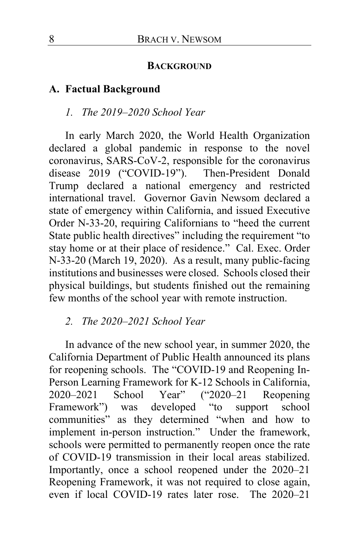#### **BACKGROUND**

#### **A. Factual Background**

### *1. The 2019–2020 School Year*

In early March 2020, the World Health Organization declared a global pandemic in response to the novel coronavirus, SARS-CoV-2, responsible for the coronavirus disease 2019 ("COVID-19"). Then-President Donald Trump declared a national emergency and restricted international travel. Governor Gavin Newsom declared a state of emergency within California, and issued Executive Order N-33-20, requiring Californians to "heed the current State public health directives" including the requirement "to stay home or at their place of residence." Cal. Exec. Order N-33-20 (March 19, 2020). As a result, many public-facing institutions and businesses were closed. Schools closed their physical buildings, but students finished out the remaining few months of the school year with remote instruction.

### *2. The 2020–2021 School Year*

In advance of the new school year, in summer 2020, the California Department of Public Health announced its plans for reopening schools. The "COVID-19 and Reopening In-Person Learning Framework for K-12 Schools in California,<br>2020–2021 School Year" ("2020–21 Reopening 2020–2021 School Year" ("2020–21 Reopening Framework") was developed "to support school communities" as they determined "when and how to implement in-person instruction." Under the framework, schools were permitted to permanently reopen once the rate of COVID-19 transmission in their local areas stabilized. Importantly, once a school reopened under the 2020–21 Reopening Framework, it was not required to close again, even if local COVID-19 rates later rose. The 2020–21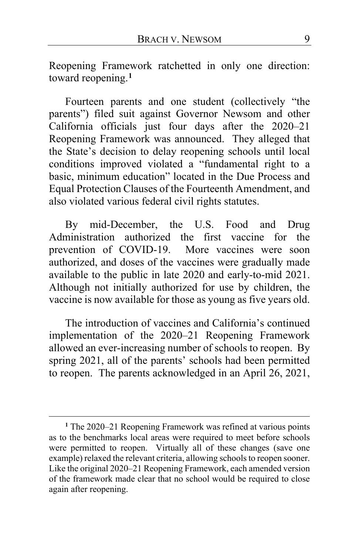Reopening Framework ratchetted in only one direction: toward reopening.**[1](#page-8-0)**

Fourteen parents and one student (collectively "the parents") filed suit against Governor Newsom and other California officials just four days after the 2020–21 Reopening Framework was announced. They alleged that the State's decision to delay reopening schools until local conditions improved violated a "fundamental right to a basic, minimum education" located in the Due Process and Equal Protection Clauses of the Fourteenth Amendment, and also violated various federal civil rights statutes.

By mid-December, the U.S. Food and Drug Administration authorized the first vaccine for the prevention of COVID-19. More vaccines were soon authorized, and doses of the vaccines were gradually made available to the public in late 2020 and early-to-mid 2021. Although not initially authorized for use by children, the vaccine is now available for those as young as five years old.

The introduction of vaccines and California's continued implementation of the 2020–21 Reopening Framework allowed an ever-increasing number of schools to reopen. By spring 2021, all of the parents' schools had been permitted to reopen. The parents acknowledged in an April 26, 2021,

<span id="page-8-0"></span>**<sup>1</sup>** The 2020–21 Reopening Framework was refined at various points as to the benchmarks local areas were required to meet before schools were permitted to reopen. Virtually all of these changes (save one example) relaxed the relevant criteria, allowing schools to reopen sooner. Like the original 2020–21 Reopening Framework, each amended version of the framework made clear that no school would be required to close again after reopening.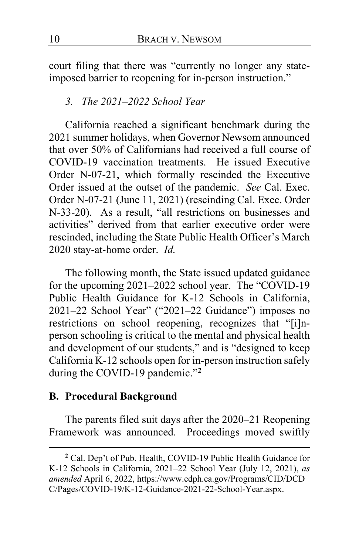court filing that there was "currently no longer any stateimposed barrier to reopening for in-person instruction."

## *3. The 2021–2022 School Year*

California reached a significant benchmark during the 2021 summer holidays, when Governor Newsom announced that over 50% of Californians had received a full course of COVID-19 vaccination treatments. He issued Executive Order N-07-21, which formally rescinded the Executive Order issued at the outset of the pandemic. *See* Cal. Exec. Order N-07-21 (June 11, 2021) (rescinding Cal. Exec. Order N-33-20). As a result, "all restrictions on businesses and activities" derived from that earlier executive order were rescinded, including the State Public Health Officer's March 2020 stay-at-home order. *Id.*

The following month, the State issued updated guidance for the upcoming 2021–2022 school year. The "COVID-19 Public Health Guidance for K-12 Schools in California, 2021–22 School Year" ("2021–22 Guidance") imposes no restrictions on school reopening, recognizes that "[i]nperson schooling is critical to the mental and physical health and development of our students," and is "designed to keep California K-12 schools open for in-person instruction safely during the COVID-19 pandemic."**[2](#page-9-0)**

## **B. Procedural Background**

The parents filed suit days after the 2020–21 Reopening Framework was announced. Proceedings moved swiftly

<span id="page-9-0"></span>**<sup>2</sup>** Cal. Dep't of Pub. Health, COVID-19 Public Health Guidance for K-12 Schools in California, 2021–22 School Year (July 12, 2021), *as amended* April 6, 2022, https://www.cdph.ca.gov/Programs/CID/DCD C/Pages/COVID-19/K-12-Guidance-2021-22-School-Year.aspx.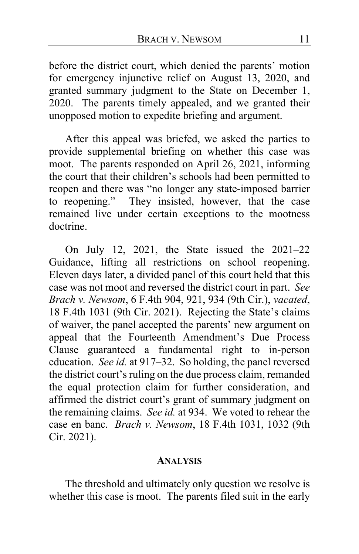before the district court, which denied the parents' motion for emergency injunctive relief on August 13, 2020, and granted summary judgment to the State on December 1, 2020. The parents timely appealed, and we granted their unopposed motion to expedite briefing and argument.

After this appeal was briefed, we asked the parties to provide supplemental briefing on whether this case was moot. The parents responded on April 26, 2021, informing the court that their children's schools had been permitted to reopen and there was "no longer any state-imposed barrier to reopening." They insisted, however, that the case remained live under certain exceptions to the mootness doctrine.

On July 12, 2021, the State issued the 2021–22 Guidance, lifting all restrictions on school reopening. Eleven days later, a divided panel of this court held that this case was not moot and reversed the district court in part. *See Brach v. Newsom*, 6 F.4th 904, 921, 934 (9th Cir.), *vacated*, 18 F.4th 1031 (9th Cir. 2021). Rejecting the State's claims of waiver, the panel accepted the parents' new argument on appeal that the Fourteenth Amendment's Due Process Clause guaranteed a fundamental right to in-person education. *See id.* at 917–32. So holding, the panel reversed the district court's ruling on the due process claim, remanded the equal protection claim for further consideration, and affirmed the district court's grant of summary judgment on the remaining claims. *See id.* at 934. We voted to rehear the case en banc. *Brach v. Newsom*, 18 F.4th 1031, 1032 (9th Cir. 2021).

### **ANALYSIS**

The threshold and ultimately only question we resolve is whether this case is moot. The parents filed suit in the early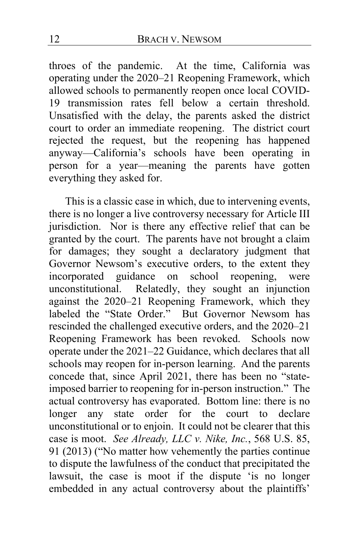throes of the pandemic. At the time, California was operating under the 2020–21 Reopening Framework, which allowed schools to permanently reopen once local COVID-19 transmission rates fell below a certain threshold. Unsatisfied with the delay, the parents asked the district court to order an immediate reopening. The district court rejected the request, but the reopening has happened anyway—California's schools have been operating in person for a year—meaning the parents have gotten everything they asked for.

This is a classic case in which, due to intervening events, there is no longer a live controversy necessary for Article III jurisdiction. Nor is there any effective relief that can be granted by the court. The parents have not brought a claim for damages; they sought a declaratory judgment that Governor Newsom's executive orders, to the extent they incorporated guidance on school reopening, were unconstitutional. Relatedly, they sought an injunction against the 2020–21 Reopening Framework, which they labeled the "State Order." But Governor Newsom has rescinded the challenged executive orders, and the 2020–21 Reopening Framework has been revoked. Schools now operate under the 2021–22 Guidance, which declares that all schools may reopen for in-person learning. And the parents concede that, since April 2021, there has been no "stateimposed barrier to reopening for in-person instruction." The actual controversy has evaporated. Bottom line: there is no longer any state order for the court to declare unconstitutional or to enjoin. It could not be clearer that this case is moot. *See Already, LLC v. Nike, Inc.*, 568 U.S. 85, 91 (2013) ("No matter how vehemently the parties continue to dispute the lawfulness of the conduct that precipitated the lawsuit, the case is moot if the dispute 'is no longer embedded in any actual controversy about the plaintiffs'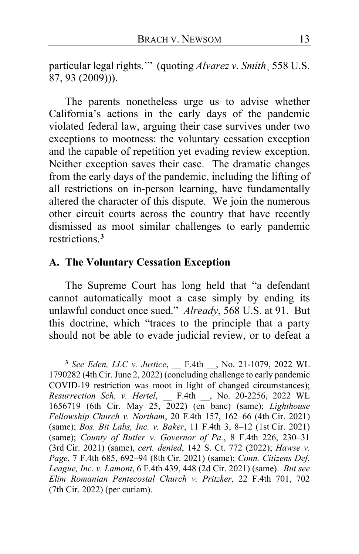particular legal rights.'" (quoting *Alvarez v. Smith*¸ 558 U.S. 87, 93 (2009))).

The parents nonetheless urge us to advise whether California's actions in the early days of the pandemic violated federal law, arguing their case survives under two exceptions to mootness: the voluntary cessation exception and the capable of repetition yet evading review exception. Neither exception saves their case. The dramatic changes from the early days of the pandemic, including the lifting of all restrictions on in-person learning, have fundamentally altered the character of this dispute. We join the numerous other circuit courts across the country that have recently dismissed as moot similar challenges to early pandemic restrictions.**[3](#page-12-0)**

## **A. The Voluntary Cessation Exception**

The Supreme Court has long held that "a defendant cannot automatically moot a case simply by ending its unlawful conduct once sued." *Already*, 568 U.S. at 91. But this doctrine, which "traces to the principle that a party should not be able to evade judicial review, or to defeat a

<span id="page-12-0"></span>**<sup>3</sup>** *See Eden, LLC v. Justice*, \_\_ F.4th \_\_, No. 21-1079, 2022 WL 1790282 (4th Cir. June 2, 2022) (concluding challenge to early pandemic COVID-19 restriction was moot in light of changed circumstances); *Resurrection Sch. v. Hertel*, \_\_ F.4th \_\_, No. 20-2256, 2022 WL 1656719 (6th Cir. May 25, 2022) (en banc) (same); *Lighthouse Fellowship Church v. Northam*, 20 F.4th 157, 162–66 (4th Cir. 2021) (same); *Bos. Bit Labs, Inc. v. Baker*, 11 F.4th 3, 8–12 (1st Cir. 2021) (same); *County of Butler v. Governor of Pa.*, 8 F.4th 226, 230–31 (3rd Cir. 2021) (same), *cert. denied*, 142 S. Ct. 772 (2022); *Hawse v. Page*, 7 F.4th 685, 692–94 (8th Cir. 2021) (same); *Conn. Citizens Def. League, Inc. v. Lamont*, 6 F.4th 439, 448 (2d Cir. 2021) (same). *But see Elim Romanian Pentecostal Church v. Pritzker*, 22 F.4th 701, 702 (7th Cir. 2022) (per curiam).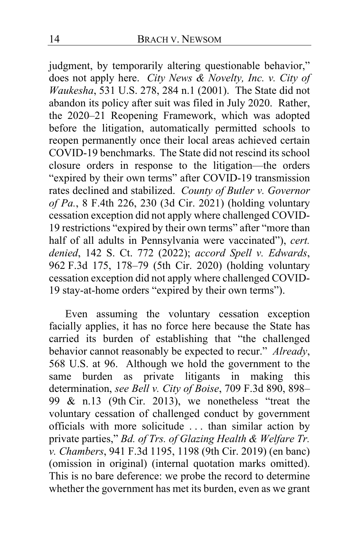judgment, by temporarily altering questionable behavior," does not apply here. *City News & Novelty, Inc. v. City of Waukesha*, 531 U.S. 278, 284 n.1 (2001). The State did not abandon its policy after suit was filed in July 2020. Rather, the 2020–21 Reopening Framework, which was adopted before the litigation, automatically permitted schools to reopen permanently once their local areas achieved certain COVID-19 benchmarks. The State did not rescind its school closure orders in response to the litigation—the orders "expired by their own terms" after COVID-19 transmission rates declined and stabilized. *County of Butler v. Governor of Pa.*, 8 F.4th 226, 230 (3d Cir. 2021) (holding voluntary cessation exception did not apply where challenged COVID-19 restrictions "expired by their own terms" after "more than half of all adults in Pennsylvania were vaccinated"), *cert. denied*, 142 S. Ct. 772 (2022); *accord Spell v. Edwards*, 962 F.3d 175, 178–79 (5th Cir. 2020) (holding voluntary cessation exception did not apply where challenged COVID-19 stay-at-home orders "expired by their own terms").

Even assuming the voluntary cessation exception facially applies, it has no force here because the State has carried its burden of establishing that "the challenged behavior cannot reasonably be expected to recur." *Already*, 568 U.S. at 96. Although we hold the government to the same burden as private litigants in making this determination, *see Bell v. City of Boise*, 709 F.3d 890, 898– 99 & n.13 (9th Cir. 2013), we nonetheless "treat the voluntary cessation of challenged conduct by government officials with more solicitude . . . than similar action by private parties," *Bd. of Trs. of Glazing Health & Welfare Tr. v. Chambers*, 941 F.3d 1195, 1198 (9th Cir. 2019) (en banc) (omission in original) (internal quotation marks omitted). This is no bare deference: we probe the record to determine whether the government has met its burden, even as we grant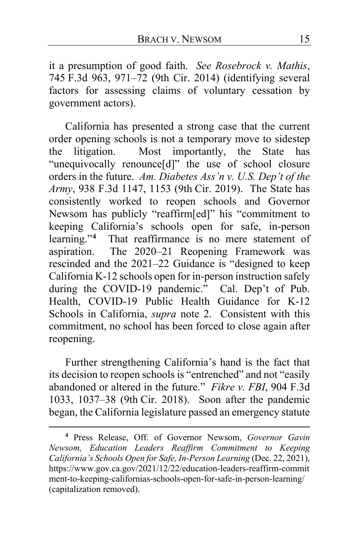it a presumption of good faith. *See Rosebrock v. Mathis*, 745 F.3d 963, 971–72 (9th Cir. 2014) (identifying several factors for assessing claims of voluntary cessation by government actors).

California has presented a strong case that the current order opening schools is not a temporary move to sidestep<br>the litigation. Most importantly, the State has the litigation. Most importantly, the State has "unequivocally renounce[d]" the use of school closure orders in the future. *Am. Diabetes Ass'n v. U.S. Dep't of the Army*, 938 F.3d 1147, 1153 (9th Cir. 2019). The State has consistently worked to reopen schools and Governor Newsom has publicly "reaffirm[ed]" his "commitment to keeping California's schools open for safe, in-person learning."**[4](#page-14-0)** That reaffirmance is no mere statement of aspiration. The 2020–21 Reopening Framework was rescinded and the 2021–22 Guidance is "designed to keep California K-12 schools open for in-person instruction safely during the COVID-19 pandemic." Cal. Dep't of Pub. Health, COVID-19 Public Health Guidance for K-12 Schools in California, *supra* note 2. Consistent with this commitment, no school has been forced to close again after reopening.

Further strengthening California's hand is the fact that its decision to reopen schools is "entrenched" and not "easily abandoned or altered in the future." *Fikre v. FBI*, 904 F.3d 1033, 1037–38 (9th Cir. 2018). Soon after the pandemic began, the California legislature passed an emergency statute

<span id="page-14-0"></span>**<sup>4</sup>** Press Release, Off. of Governor Newsom, *Governor Gavin Newsom, Education Leaders Reaffirm Commitment to Keeping California's Schools Open for Safe, In-Person Learning* (Dec. 22, 2021), https://www.gov.ca.gov/2021/12/22/education-leaders-reaffirm-commit ment-to-keeping-californias-schools-open-for-safe-in-person-learning/ (capitalization removed).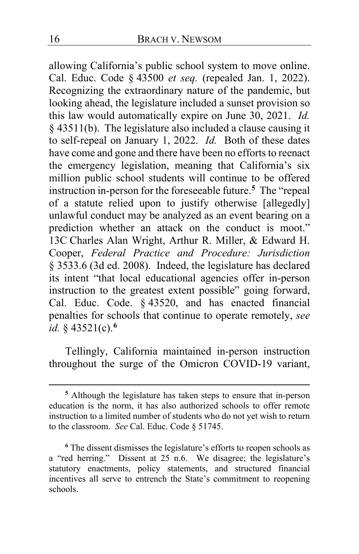allowing California's public school system to move online. Cal. Educ. Code § 43500 *et seq.* (repealed Jan. 1, 2022). Recognizing the extraordinary nature of the pandemic, but looking ahead, the legislature included a sunset provision so this law would automatically expire on June 30, 2021. *Id.* § 43511(b). The legislature also included a clause causing it to self-repeal on January 1, 2022. *Id.* Both of these dates have come and gone and there have been no efforts to reenact the emergency legislation, meaning that California's six million public school students will continue to be offered instruction in-person for the foreseeable future.**[5](#page-15-0)** The "repeal of a statute relied upon to justify otherwise [allegedly] unlawful conduct may be analyzed as an event bearing on a prediction whether an attack on the conduct is moot." 13C Charles Alan Wright, Arthur R. Miller, & Edward H. Cooper, *Federal Practice and Procedure: Jurisdiction*  § 3533.6 (3d ed. 2008). Indeed, the legislature has declared its intent "that local educational agencies offer in-person instruction to the greatest extent possible" going forward, Cal. Educ. Code. § 43520, and has enacted financial penalties for schools that continue to operate remotely, *see id.* § 43521(c).**[6](#page-15-1)**

Tellingly, California maintained in-person instruction throughout the surge of the Omicron COVID-19 variant,

<span id="page-15-0"></span>**<sup>5</sup>** Although the legislature has taken steps to ensure that in-person education is the norm, it has also authorized schools to offer remote instruction to a limited number of students who do not yet wish to return to the classroom. *See* Cal. Educ. Code § 51745.

<span id="page-15-1"></span>**<sup>6</sup>** The dissent dismisses the legislature's efforts to reopen schools as a "red herring." Dissent at [25](#page-24-0) n.6. We disagree; the legislature's statutory enactments, policy statements, and structured financial incentives all serve to entrench the State's commitment to reopening schools.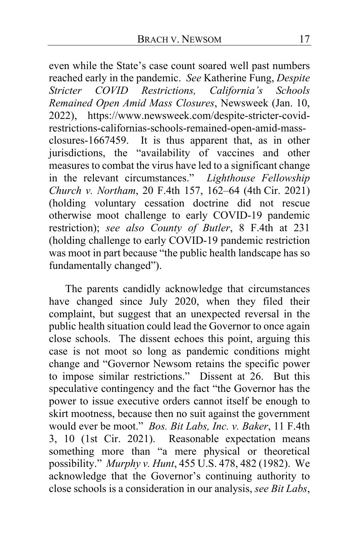even while the State's case count soared well past numbers reached early in the pandemic. *See* Katherine Fung, *Despite Stricter COVID Restrictions, California's Schools Remained Open Amid Mass Closures*, Newsweek (Jan. 10, 2022), https://www.newsweek.com/despite-stricter-covidrestrictions-californias-schools-remained-open-amid-massclosures-1667459. It is thus apparent that, as in other jurisdictions, the "availability of vaccines and other measures to combat the virus have led to a significant change in the relevant circumstances." *Lighthouse Fellowship Church v. Northam*, 20 F.4th 157, 162–64 (4th Cir. 2021) (holding voluntary cessation doctrine did not rescue otherwise moot challenge to early COVID-19 pandemic restriction); *see also County of Butler*, 8 F.4th at 231 (holding challenge to early COVID-19 pandemic restriction was moot in part because "the public health landscape has so fundamentally changed").

The parents candidly acknowledge that circumstances have changed since July 2020, when they filed their complaint, but suggest that an unexpected reversal in the public health situation could lead the Governor to once again close schools. The dissent echoes this point, arguing this case is not moot so long as pandemic conditions might change and "Governor Newsom retains the specific power to impose similar restrictions." Dissent at [26.](#page-25-0) But this speculative contingency and the fact "the Governor has the power to issue executive orders cannot itself be enough to skirt mootness, because then no suit against the government would ever be moot." *Bos. Bit Labs, Inc. v. Baker*, 11 F.4th 3, 10 (1st Cir. 2021). Reasonable expectation means something more than "a mere physical or theoretical possibility." *Murphy v. Hunt*, 455 U.S. 478, 482 (1982). We acknowledge that the Governor's continuing authority to close schools is a consideration in our analysis, *see Bit Labs*,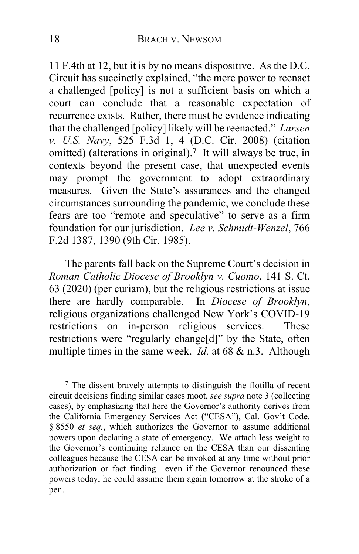11 F.4th at 12, but it is by no means dispositive. As the D.C. Circuit has succinctly explained, "the mere power to reenact a challenged [policy] is not a sufficient basis on which a court can conclude that a reasonable expectation of recurrence exists. Rather, there must be evidence indicating that the challenged [policy] likely will be reenacted." *Larsen v. U.S. Navy*, 525 F.3d 1, 4 (D.C. Cir. 2008) (citation omitted) (alterations in original).**[7](#page-17-0)** It will always be true, in contexts beyond the present case, that unexpected events may prompt the government to adopt extraordinary measures. Given the State's assurances and the changed circumstances surrounding the pandemic, we conclude these fears are too "remote and speculative" to serve as a firm foundation for our jurisdiction. *Lee v. Schmidt-Wenzel*, 766 F.2d 1387, 1390 (9th Cir. 1985).

The parents fall back on the Supreme Court's decision in *Roman Catholic Diocese of Brooklyn v. Cuomo*, 141 S. Ct. 63 (2020) (per curiam), but the religious restrictions at issue there are hardly comparable. In *Diocese of Brooklyn*, religious organizations challenged New York's COVID-19 restrictions on in-person religious services. These restrictions were "regularly change[d]" by the State, often multiple times in the same week. *Id.* at 68 & n.3. Although

<span id="page-17-0"></span>**<sup>7</sup>** The dissent bravely attempts to distinguish the flotilla of recent circuit decisions finding similar cases moot, *see supra* note 3 (collecting cases), by emphasizing that here the Governor's authority derives from the California Emergency Services Act ("CESA"), Cal. Gov't Code. § 8550 *et seq.*, which authorizes the Governor to assume additional powers upon declaring a state of emergency. We attach less weight to the Governor's continuing reliance on the CESA than our dissenting colleagues because the CESA can be invoked at any time without prior authorization or fact finding—even if the Governor renounced these powers today, he could assume them again tomorrow at the stroke of a pen.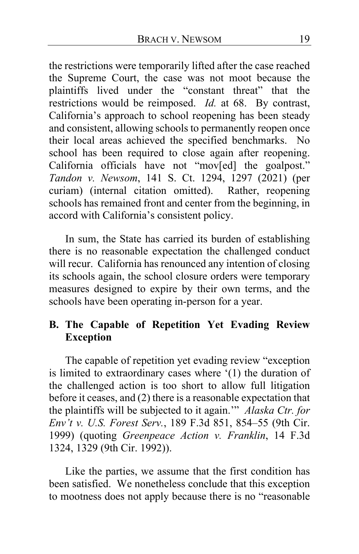the restrictions were temporarily lifted after the case reached the Supreme Court, the case was not moot because the plaintiffs lived under the "constant threat" that the restrictions would be reimposed. *Id.* at 68. By contrast, California's approach to school reopening has been steady and consistent, allowing schools to permanently reopen once their local areas achieved the specified benchmarks. No school has been required to close again after reopening. California officials have not "mov[ed] the goalpost." *Tandon v. Newsom*, 141 S. Ct. 1294, 1297 (2021) (per curiam) (internal citation omitted). Rather, reopening schools has remained front and center from the beginning, in accord with California's consistent policy.

In sum, the State has carried its burden of establishing there is no reasonable expectation the challenged conduct will recur. California has renounced any intention of closing its schools again, the school closure orders were temporary measures designed to expire by their own terms, and the schools have been operating in-person for a year.

## **B. The Capable of Repetition Yet Evading Review Exception**

The capable of repetition yet evading review "exception is limited to extraordinary cases where '(1) the duration of the challenged action is too short to allow full litigation before it ceases, and (2) there is a reasonable expectation that the plaintiffs will be subjected to it again.'" *Alaska Ctr. for Env't v. U.S. Forest Serv.*, 189 F.3d 851, 854–55 (9th Cir. 1999) (quoting *Greenpeace Action v. Franklin*, 14 F.3d 1324, 1329 (9th Cir. 1992)).

Like the parties, we assume that the first condition has been satisfied. We nonetheless conclude that this exception to mootness does not apply because there is no "reasonable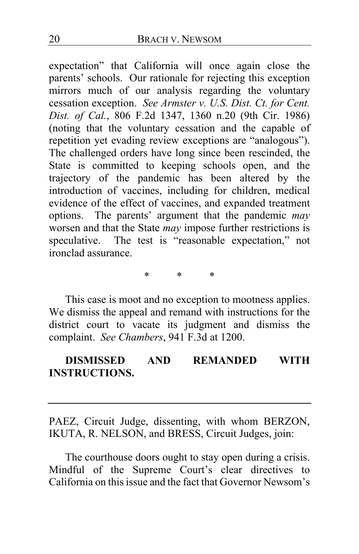expectation" that California will once again close the parents' schools. Our rationale for rejecting this exception mirrors much of our analysis regarding the voluntary cessation exception. *See Armster v. U.S. Dist. Ct. for Cent. Dist. of Cal.*, 806 F.2d 1347, 1360 n.20 (9th Cir. 1986) (noting that the voluntary cessation and the capable of repetition yet evading review exceptions are "analogous"). The challenged orders have long since been rescinded, the State is committed to keeping schools open, and the trajectory of the pandemic has been altered by the introduction of vaccines, including for children, medical evidence of the effect of vaccines, and expanded treatment options. The parents' argument that the pandemic *may* worsen and that the State *may* impose further restrictions is speculative. The test is "reasonable expectation," not ironclad assurance.

\* \* \*

This case is moot and no exception to mootness applies. We dismiss the appeal and remand with instructions for the district court to vacate its judgment and dismiss the complaint. *See Chambers*, 941 F.3d at 1200.

## **DISMISSED AND REMANDED WITH INSTRUCTIONS.**

PAEZ, Circuit Judge, dissenting, with whom BERZON, IKUTA, R. NELSON, and BRESS, Circuit Judges, join:

The courthouse doors ought to stay open during a crisis. Mindful of the Supreme Court's clear directives to California on this issue and the fact that Governor Newsom's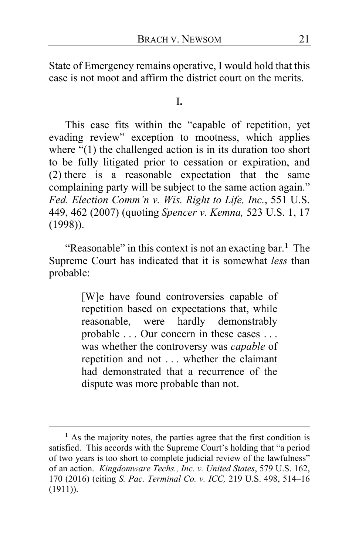State of Emergency remains operative, I would hold that this case is not moot and affirm the district court on the merits.

#### I**.**

This case fits within the "capable of repetition, yet evading review" exception to mootness, which applies where "(1) the challenged action is in its duration too short to be fully litigated prior to cessation or expiration, and (2) there is a reasonable expectation that the same complaining party will be subject to the same action again." *Fed. Election Comm'n v. Wis. Right to Life, Inc.*, 551 U.S. 449, 462 (2007) (quoting *Spencer v. Kemna,* 523 U.S. 1, 17 (1998)).

"Reasonable" in this context is not an exacting bar.**[1](#page-20-0)** The Supreme Court has indicated that it is somewhat *less* than probable:

> [W]e have found controversies capable of repetition based on expectations that, while reasonable, were hardly demonstrably probable . . . Our concern in these cases . . . was whether the controversy was *capable* of repetition and not . . . whether the claimant had demonstrated that a recurrence of the dispute was more probable than not.

<span id="page-20-0"></span><sup>&</sup>lt;sup>1</sup> As the majority notes, the parties agree that the first condition is satisfied. This accords with the Supreme Court's holding that "a period of two years is too short to complete judicial review of the lawfulness" of an action. *Kingdomware Techs., Inc. v. United States*, 579 U.S. 162, 170 (2016) (citing *S. Pac. Terminal Co. v. ICC,* 219 U.S. 498, 514–16 (1911)).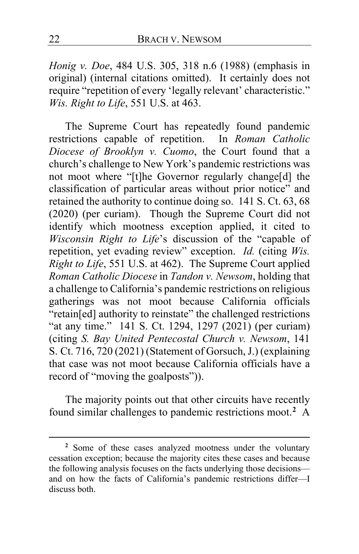*Honig v. Doe*, 484 U.S. 305, 318 n.6 (1988) (emphasis in original) (internal citations omitted). It certainly does not require "repetition of every 'legally relevant' characteristic." *Wis. Right to Life*, 551 U.S. at 463.

The Supreme Court has repeatedly found pandemic restrictions capable of repetition. In *Roman Catholic Diocese of Brooklyn v. Cuomo*, the Court found that a church's challenge to New York's pandemic restrictions was not moot where "[t]he Governor regularly change[d] the classification of particular areas without prior notice" and retained the authority to continue doing so. 141 S. Ct. 63, 68 (2020) (per curiam). Though the Supreme Court did not identify which mootness exception applied, it cited to *Wisconsin Right to Life*'s discussion of the "capable of repetition, yet evading review" exception. *Id.* (citing *Wis. Right to Life*, 551 U.S. at 462). The Supreme Court applied *Roman Catholic Diocese* in *Tandon v. Newsom*, holding that a challenge to California's pandemic restrictions on religious gatherings was not moot because California officials "retain[ed] authority to reinstate" the challenged restrictions "at any time." 141 S. Ct. 1294, 1297 (2021) (per curiam) (citing *S. Bay United Pentecostal Church v. Newsom*, 141 S. Ct. 716, 720 (2021) (Statement of Gorsuch, J.) (explaining that case was not moot because California officials have a record of "moving the goalposts")).

The majority points out that other circuits have recently found similar challenges to pandemic restrictions moot.**[2](#page-21-0)** A

<span id="page-21-0"></span>**<sup>2</sup>** Some of these cases analyzed mootness under the voluntary cessation exception; because the majority cites these cases and because the following analysis focuses on the facts underlying those decisions and on how the facts of California's pandemic restrictions differ—I discuss both.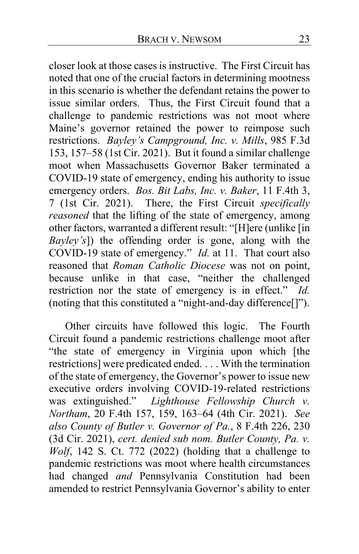closer look at those cases is instructive. The First Circuit has noted that one of the crucial factors in determining mootness in this scenario is whether the defendant retains the power to issue similar orders. Thus, the First Circuit found that a challenge to pandemic restrictions was not moot where Maine's governor retained the power to reimpose such restrictions. *Bayley's Campground, Inc. v. Mills*, 985 F.3d 153, 157–58 (1st Cir. 2021). But it found a similar challenge moot when Massachusetts Governor Baker terminated a COVID-19 state of emergency, ending his authority to issue emergency orders. *Bos. Bit Labs, Inc. v. Baker*, 11 F.4th 3, 7 (1st Cir. 2021). There, the First Circuit *specifically reasoned* that the lifting of the state of emergency, among other factors, warranted a different result: "[H]ere (unlike [in *Bayley's*]) the offending order is gone, along with the COVID-19 state of emergency." *Id.* at 11. That court also reasoned that *Roman Catholic Diocese* was not on point, because unlike in that case, "neither the challenged restriction nor the state of emergency is in effect." *Id.* (noting that this constituted a "night-and-day difference[]").

Other circuits have followed this logic. The Fourth Circuit found a pandemic restrictions challenge moot after "the state of emergency in Virginia upon which [the restrictions] were predicated ended. . . . With the termination of the state of emergency, the Governor's power to issue new executive orders involving COVID-19-related restrictions was extinguished." *Lighthouse Fellowship Church v. Northam*, 20 F.4th 157, 159, 163–64 (4th Cir. 2021). *See also County of Butler v. Governor of Pa.*, 8 F.4th 226, 230 (3d Cir. 2021), *cert. denied sub nom. Butler County, Pa. v. Wolf*, 142 S. Ct. 772 (2022) (holding that a challenge to pandemic restrictions was moot where health circumstances had changed *and* Pennsylvania Constitution had been amended to restrict Pennsylvania Governor's ability to enter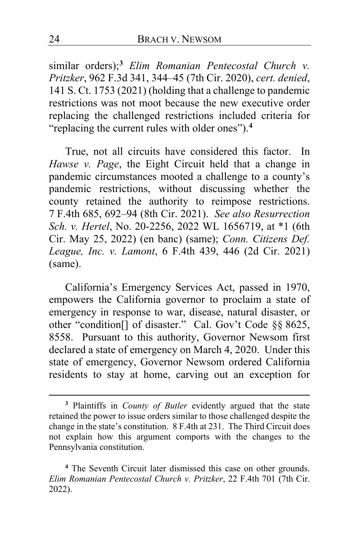similar orders);**[3](#page-23-0)** *Elim Romanian Pentecostal Church v. Pritzker*, 962 F.3d 341, 344–45 (7th Cir. 2020), *cert. denied*, 141 S. Ct. 1753 (2021) (holding that a challenge to pandemic restrictions was not moot because the new executive order replacing the challenged restrictions included criteria for "replacing the current rules with older ones").**[4](#page-23-1)**

True, not all circuits have considered this factor. In *Hawse v. Page*, the Eight Circuit held that a change in pandemic circumstances mooted a challenge to a county's pandemic restrictions, without discussing whether the county retained the authority to reimpose restrictions. 7 F.4th 685, 692–94 (8th Cir. 2021). *See also Resurrection Sch. v. Hertel*, No. 20-2256, 2022 WL 1656719, at \*1 (6th Cir. May 25, 2022) (en banc) (same); *Conn. Citizens Def. League, Inc. v. Lamont*, 6 F.4th 439, 446 (2d Cir. 2021) (same).

California's Emergency Services Act, passed in 1970, empowers the California governor to proclaim a state of emergency in response to war, disease, natural disaster, or other "condition[] of disaster." Cal. Gov't Code §§ 8625, 8558. Pursuant to this authority, Governor Newsom first declared a state of emergency on March 4, 2020. Under this state of emergency, Governor Newsom ordered California residents to stay at home, carving out an exception for

<span id="page-23-1"></span>**<sup>4</sup>** The Seventh Circuit later dismissed this case on other grounds. *Elim Romanian Pentecostal Church v. Pritzker*, 22 F.4th 701 (7th Cir. 2022).

<span id="page-23-0"></span>**<sup>3</sup>** Plaintiffs in *County of Butler* evidently argued that the state retained the power to issue orders similar to those challenged despite the change in the state's constitution. 8 F.4th at 231. The Third Circuit does not explain how this argument comports with the changes to the Pennsylvania constitution.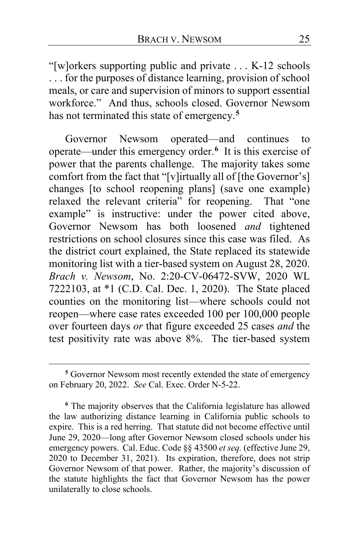"[w]orkers supporting public and private . . . K-12 schools . . . for the purposes of distance learning, provision of school meals, or care and supervision of minors to support essential workforce." And thus, schools closed. Governor Newsom has not terminated this state of emergency.**[5](#page-24-1)**

Governor Newsom operated—and continues to operate—under this emergency order.**[6](#page-24-2)** It is this exercise of power that the parents challenge. The majority takes some comfort from the fact that "[v]irtually all of [the Governor's] changes [to school reopening plans] (save one example) relaxed the relevant criteria" for reopening. That "one example" is instructive: under the power cited above, Governor Newsom has both loosened *and* tightened restrictions on school closures since this case was filed. As the district court explained, the State replaced its statewide monitoring list with a tier-based system on August 28, 2020. *Brach v. Newsom*, No. 2:20-CV-06472-SVW, 2020 WL 7222103, at \*1 (C.D. Cal. Dec. 1, 2020).The State placed counties on the monitoring list—where schools could not reopen—where case rates exceeded 100 per 100,000 people over fourteen days *or* that figure exceeded 25 cases *and* the test positivity rate was above 8%. The tier-based system

<span id="page-24-1"></span>**<sup>5</sup>** Governor Newsom most recently extended the state of emergency on February 20, 2022. *See* Cal. Exec. Order N-5-22.

<span id="page-24-2"></span><span id="page-24-0"></span>**<sup>6</sup>** The majority observes that the California legislature has allowed the law authorizing distance learning in California public schools to expire. This is a red herring. That statute did not become effective until June 29, 2020—long after Governor Newsom closed schools under his emergency powers. Cal. Educ. Code §§ 43500 *et seq.* (effective June 29, 2020 to December 31, 2021). Its expiration, therefore, does not strip Governor Newsom of that power. Rather, the majority's discussion of the statute highlights the fact that Governor Newsom has the power unilaterally to close schools.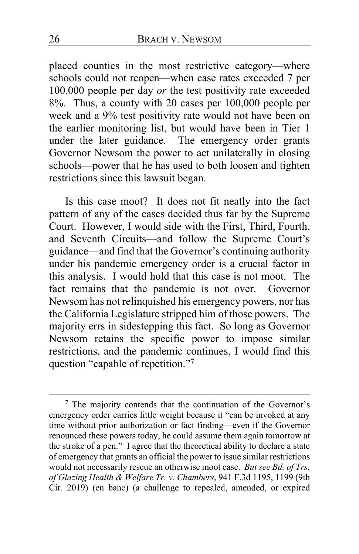placed counties in the most restrictive category—where schools could not reopen—when case rates exceeded 7 per 100,000 people per day *or* the test positivity rate exceeded 8%.Thus, a county with 20 cases per 100,000 people per week and a 9% test positivity rate would not have been on the earlier monitoring list, but would have been in Tier 1 under the later guidance. The emergency order grants Governor Newsom the power to act unilaterally in closing schools—power that he has used to both loosen and tighten restrictions since this lawsuit began.

Is this case moot? It does not fit neatly into the fact pattern of any of the cases decided thus far by the Supreme Court. However, I would side with the First, Third, Fourth, and Seventh Circuits—and follow the Supreme Court's guidance—and find that the Governor's continuing authority under his pandemic emergency order is a crucial factor in this analysis. I would hold that this case is not moot. The fact remains that the pandemic is not over. Governor Newsom has not relinquished his emergency powers, nor has the California Legislature stripped him of those powers. The majority errs in sidestepping this fact. So long as Governor Newsom retains the specific power to impose similar restrictions, and the pandemic continues, I would find this question "capable of repetition."**[7](#page-25-1)**

<span id="page-25-1"></span><span id="page-25-0"></span>**<sup>7</sup>** The majority contends that the continuation of the Governor's emergency order carries little weight because it "can be invoked at any time without prior authorization or fact finding—even if the Governor renounced these powers today, he could assume them again tomorrow at the stroke of a pen." I agree that the theoretical ability to declare a state of emergency that grants an official the power to issue similar restrictions would not necessarily rescue an otherwise moot case. *But see Bd. of Trs. of Glazing Health & Welfare Tr. v. Chambers*, 941 F.3d 1195, 1199 (9th Cir. 2019) (en banc) (a challenge to repealed, amended, or expired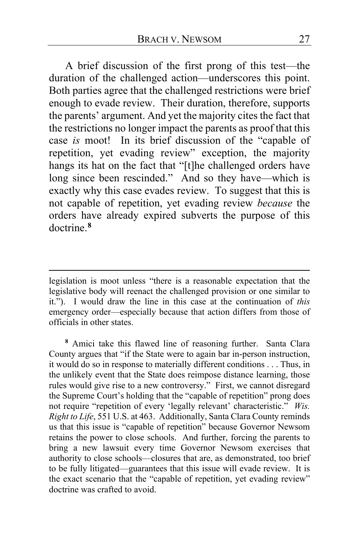A brief discussion of the first prong of this test—the duration of the challenged action—underscores this point. Both parties agree that the challenged restrictions were brief enough to evade review. Their duration, therefore, supports the parents' argument. And yet the majority cites the fact that the restrictions no longer impact the parents as proof that this case *is* moot! In its brief discussion of the "capable of repetition, yet evading review" exception, the majority hangs its hat on the fact that "[t]he challenged orders have long since been rescinded." And so they have—which is exactly why this case evades review. To suggest that this is not capable of repetition, yet evading review *because* the orders have already expired subverts the purpose of this doctrine.**[8](#page-26-0)**

<span id="page-26-0"></span>**<sup>8</sup>** Amici take this flawed line of reasoning further. Santa Clara County argues that "if the State were to again bar in-person instruction, it would do so in response to materially different conditions . . . Thus, in the unlikely event that the State does reimpose distance learning, those rules would give rise to a new controversy." First, we cannot disregard the Supreme Court's holding that the "capable of repetition" prong does not require "repetition of every 'legally relevant' characteristic." *Wis. Right to Life*, 551 U.S. at 463. Additionally, Santa Clara County reminds us that this issue is "capable of repetition" because Governor Newsom retains the power to close schools. And further, forcing the parents to bring a new lawsuit every time Governor Newsom exercises that authority to close schools—closures that are, as demonstrated, too brief to be fully litigated—guarantees that this issue will evade review. It is the exact scenario that the "capable of repetition, yet evading review" doctrine was crafted to avoid.

legislation is moot unless "there is a reasonable expectation that the legislative body will reenact the challenged provision or one similar to it."). I would draw the line in this case at the continuation of *this* emergency order—especially because that action differs from those of officials in other states.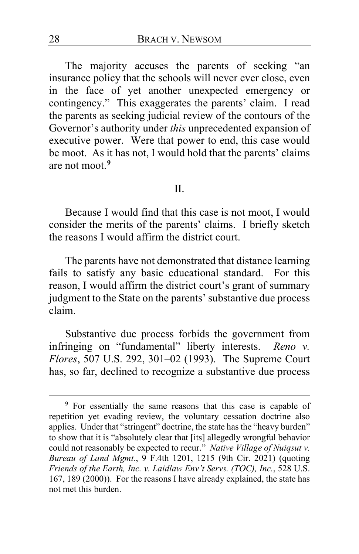The majority accuses the parents of seeking "an insurance policy that the schools will never ever close, even in the face of yet another unexpected emergency or contingency." This exaggerates the parents' claim. I read the parents as seeking judicial review of the contours of the Governor's authority under *this* unprecedented expansion of executive power. Were that power to end, this case would be moot. As it has not, I would hold that the parents' claims are not moot.**[9](#page-27-0)**

#### II.

Because I would find that this case is not moot, I would consider the merits of the parents' claims. I briefly sketch the reasons I would affirm the district court.

The parents have not demonstrated that distance learning fails to satisfy any basic educational standard. For this reason, I would affirm the district court's grant of summary judgment to the State on the parents' substantive due process claim.

Substantive due process forbids the government from infringing on "fundamental" liberty interests. *Reno v. Flores*, 507 U.S. 292, 301–02 (1993). The Supreme Court has, so far, declined to recognize a substantive due process

<span id="page-27-0"></span>**<sup>9</sup>** For essentially the same reasons that this case is capable of repetition yet evading review, the voluntary cessation doctrine also applies. Under that "stringent" doctrine, the state has the "heavy burden" to show that it is "absolutely clear that [its] allegedly wrongful behavior could not reasonably be expected to recur." *Native Village of Nuiqsut v. Bureau of Land Mgmt.*, 9 F.4th 1201, 1215 (9th Cir. 2021) (quoting *Friends of the Earth, Inc. v. Laidlaw Env't Servs. (TOC), Inc.*, 528 U.S. 167, 189 (2000)). For the reasons I have already explained, the state has not met this burden.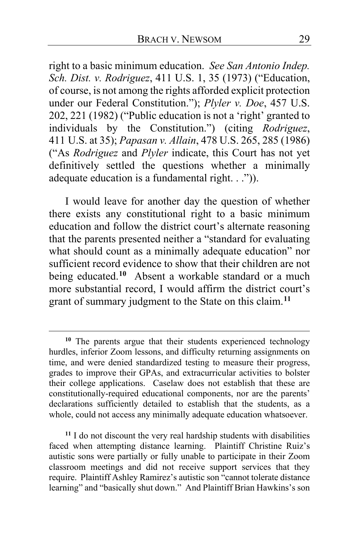right to a basic minimum education. *See San Antonio Indep. Sch. Dist. v. Rodriguez*, 411 U.S. 1, 35 (1973) ("Education, of course, is not among the rights afforded explicit protection under our Federal Constitution."); *Plyler v. Doe*, 457 U.S. 202, 221 (1982) ("Public education is not a 'right' granted to individuals by the Constitution.") (citing *Rodriguez*, 411 U.S. at 35); *Papasan v. Allain*, 478 U.S. 265, 285 (1986) ("As *Rodriguez* and *Plyler* indicate, this Court has not yet definitively settled the questions whether a minimally adequate education is a fundamental right. . .")).

I would leave for another day the question of whether there exists any constitutional right to a basic minimum education and follow the district court's alternate reasoning that the parents presented neither a "standard for evaluating what should count as a minimally adequate education" nor sufficient record evidence to show that their children are not being educated.**[10](#page-28-0)** Absent a workable standard or a much more substantial record, I would affirm the district court's grant of summary judgment to the State on this claim.**[11](#page-28-1)**

<span id="page-28-1"></span>**<sup>11</sup>** I do not discount the very real hardship students with disabilities faced when attempting distance learning. Plaintiff Christine Ruiz's autistic sons were partially or fully unable to participate in their Zoom classroom meetings and did not receive support services that they require. Plaintiff Ashley Ramirez's autistic son "cannot tolerate distance learning" and "basically shut down." And Plaintiff Brian Hawkins's son

<span id="page-28-0"></span>**<sup>10</sup>** The parents argue that their students experienced technology hurdles, inferior Zoom lessons, and difficulty returning assignments on time, and were denied standardized testing to measure their progress, grades to improve their GPAs, and extracurricular activities to bolster their college applications. Caselaw does not establish that these are constitutionally-required educational components, nor are the parents' declarations sufficiently detailed to establish that the students, as a whole, could not access any minimally adequate education whatsoever.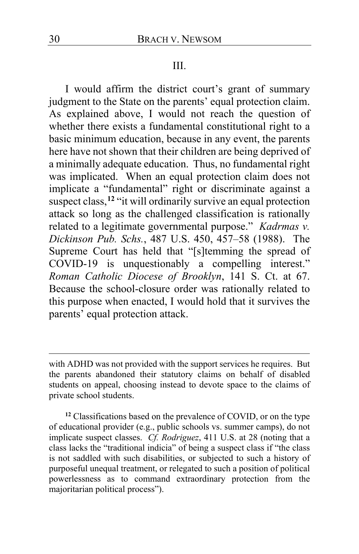#### III.

I would affirm the district court's grant of summary judgment to the State on the parents' equal protection claim. As explained above, I would not reach the question of whether there exists a fundamental constitutional right to a basic minimum education, because in any event, the parents here have not shown that their children are being deprived of a minimally adequate education. Thus, no fundamental right was implicated. When an equal protection claim does not implicate a "fundamental" right or discriminate against a suspect class,<sup>[12](#page-29-0)</sup> "it will ordinarily survive an equal protection attack so long as the challenged classification is rationally related to a legitimate governmental purpose." *Kadrmas v. Dickinson Pub. Schs.*, 487 U.S. 450, 457–58 (1988). The Supreme Court has held that "[s]temming the spread of COVID-19 is unquestionably a compelling interest." *Roman Catholic Diocese of Brooklyn*, 141 S. Ct. at 67. Because the school-closure order was rationally related to this purpose when enacted, I would hold that it survives the parents' equal protection attack.

with ADHD was not provided with the support services he requires. But the parents abandoned their statutory claims on behalf of disabled students on appeal, choosing instead to devote space to the claims of private school students.

<span id="page-29-0"></span>**<sup>12</sup>** Classifications based on the prevalence of COVID, or on the type of educational provider (e.g., public schools vs. summer camps), do not implicate suspect classes. *Cf. Rodriguez*, 411 U.S. at 28 (noting that a class lacks the "traditional indicia" of being a suspect class if "the class is not saddled with such disabilities, or subjected to such a history of purposeful unequal treatment, or relegated to such a position of political powerlessness as to command extraordinary protection from the majoritarian political process").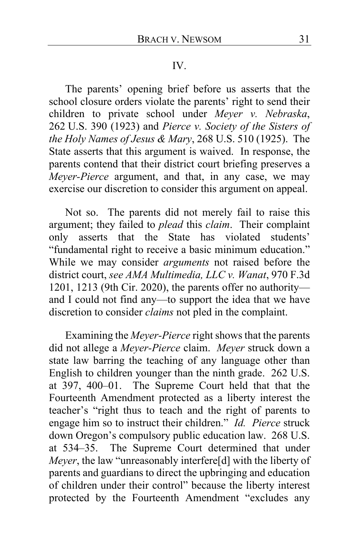#### IV.

<span id="page-30-0"></span>The parents' opening brief before us asserts that the school closure orders violate the parents' right to send their children to private school under *Meyer v. Nebraska*, 262 U.S. 390 (1923) and *Pierce v. Society of the Sisters of the Holy Names of Jesus & Mary*, 268 U.S. 510 (1925). The State asserts that this argument is waived. In response, the parents contend that their district court briefing preserves a *Meyer-Pierce* argument, and that, in any case, we may exercise our discretion to consider this argument on appeal.

Not so. The parents did not merely fail to raise this argument; they failed to *plead* this *claim*. Their complaint only asserts that the State has violated students' "fundamental right to receive a basic minimum education." While we may consider *arguments* not raised before the district court, *see AMA Multimedia, LLC v. Wanat*, 970 F.3d 1201, 1213 (9th Cir. 2020), the parents offer no authority and I could not find any—to support the idea that we have discretion to consider *claims* not pled in the complaint.

Examining the *Meyer-Pierce* right shows that the parents did not allege a *Meyer-Pierce* claim. *Meyer* struck down a state law barring the teaching of any language other than English to children younger than the ninth grade. 262 U.S. at 397, 400–01. The Supreme Court held that that the Fourteenth Amendment protected as a liberty interest the teacher's "right thus to teach and the right of parents to engage him so to instruct their children." *Id. Pierce* struck down Oregon's compulsory public education law. 268 U.S. at 534–35. The Supreme Court determined that under *Meyer*, the law "unreasonably interfere[d] with the liberty of parents and guardians to direct the upbringing and education of children under their control" because the liberty interest protected by the Fourteenth Amendment "excludes any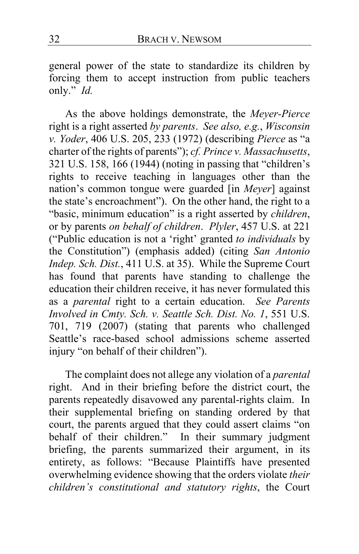general power of the state to standardize its children by forcing them to accept instruction from public teachers only." *Id.*

As the above holdings demonstrate, the *Meyer-Pierce*  right is a right asserted *by parents*. *See also, e.g.*, *Wisconsin v. Yoder*, 406 U.S. 205, 233 (1972) (describing *Pierce* as "a charter of the rights of parents"); *cf. Prince v. Massachusetts*, 321 U.S. 158, 166 (1944) (noting in passing that "children's rights to receive teaching in languages other than the nation's common tongue were guarded [in *Meyer*] against the state's encroachment"). On the other hand, the right to a "basic, minimum education" is a right asserted by *children*, or by parents *on behalf of children*. *Plyler*, 457 U.S. at 221 ("Public education is not a 'right' granted *to individuals* by the Constitution") (emphasis added) (citing *San Antonio Indep. Sch. Dist.*, 411 U.S. at 35). While the Supreme Court has found that parents have standing to challenge the education their children receive, it has never formulated this as a *parental* right to a certain education. *See Parents Involved in Cmty. Sch. v. Seattle Sch. Dist. No. 1*, 551 U.S. 701, 719 (2007) (stating that parents who challenged Seattle's race-based school admissions scheme asserted injury "on behalf of their children").

The complaint does not allege any violation of a *parental* right. And in their briefing before the district court, the parents repeatedly disavowed any parental-rights claim. In their supplemental briefing on standing ordered by that court, the parents argued that they could assert claims "on behalf of their children." In their summary judgment briefing, the parents summarized their argument, in its entirety, as follows: "Because Plaintiffs have presented overwhelming evidence showing that the orders violate *their children's constitutional and statutory rights*, the Court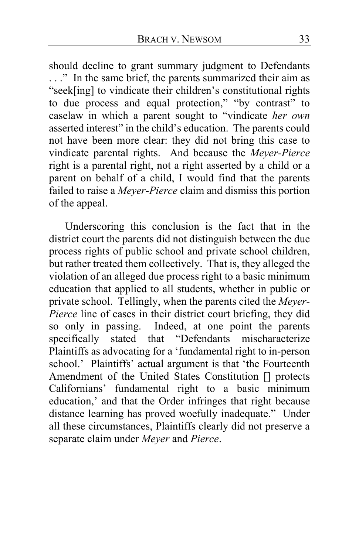should decline to grant summary judgment to Defendants . . ." In the same brief, the parents summarized their aim as "seek[ing] to vindicate their children's constitutional rights to due process and equal protection," "by contrast" to caselaw in which a parent sought to "vindicate *her own* asserted interest" in the child's education. The parents could not have been more clear: they did not bring this case to vindicate parental rights. And because the *Meyer-Pierce* right is a parental right, not a right asserted by a child or a parent on behalf of a child, I would find that the parents failed to raise a *Meyer-Pierce* claim and dismiss this portion of the appeal.

<span id="page-32-0"></span>Underscoring this conclusion is the fact that in the district court the parents did not distinguish between the due process rights of public school and private school children, but rather treated them collectively. That is, they alleged the violation of an alleged due process right to a basic minimum education that applied to all students, whether in public or private school. Tellingly, when the parents cited the *Meyer-Pierce* line of cases in their district court briefing, they did so only in passing. Indeed, at one point the parents specifically stated that "Defendants mischaracterize that "Defendants mischaracterize Plaintiffs as advocating for a 'fundamental right to in-person school.' Plaintiffs' actual argument is that 'the Fourteenth Amendment of the United States Constitution [] protects Californians' fundamental right to a basic minimum education,' and that the Order infringes that right because distance learning has proved woefully inadequate." Under all these circumstances, Plaintiffs clearly did not preserve a separate claim under *Meyer* and *Pierce*.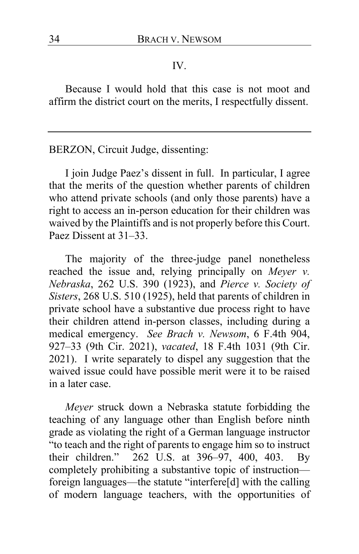#### IV.

Because I would hold that this case is not moot and affirm the district court on the merits, I respectfully dissent.

## BERZON, Circuit Judge, dissenting:

I join Judge Paez's dissent in full. In particular, I agree that the merits of the question whether parents of children who attend private schools (and only those parents) have a right to access an in-person education for their children was waived by the Plaintiffs and is not properly before this Court. Paez Dissent at [31–](#page-30-0)[33.](#page-32-0)

The majority of the three-judge panel nonetheless reached the issue and, relying principally on *Meyer v. Nebraska*, 262 U.S. 390 (1923), and *Pierce v. Society of Sisters*, 268 U.S. 510 (1925), held that parents of children in private school have a substantive due process right to have their children attend in-person classes, including during a medical emergency. *See Brach v. Newsom*, 6 F.4th 904, 927–33 (9th Cir. 2021), *vacated*, 18 F.4th 1031 (9th Cir. 2021). I write separately to dispel any suggestion that the waived issue could have possible merit were it to be raised in a later case.

*Meyer* struck down a Nebraska statute forbidding the teaching of any language other than English before ninth grade as violating the right of a German language instructor "to teach and the right of parents to engage him so to instruct their children." 262 U.S. at 396–97, 400, 403. By completely prohibiting a substantive topic of instruction foreign languages—the statute "interfere[d] with the calling of modern language teachers, with the opportunities of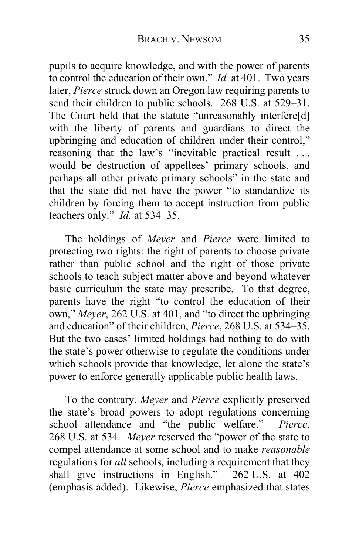pupils to acquire knowledge, and with the power of parents to control the education of their own." *Id.* at 401. Two years later, *Pierce* struck down an Oregon law requiring parents to send their children to public schools. 268 U.S. at 529–31. The Court held that the statute "unreasonably interfere[d] with the liberty of parents and guardians to direct the upbringing and education of children under their control," reasoning that the law's "inevitable practical result ... would be destruction of appellees' primary schools, and perhaps all other private primary schools" in the state and that the state did not have the power "to standardize its children by forcing them to accept instruction from public teachers only." *Id.* at 534–35.

The holdings of *Meyer* and *Pierce* were limited to protecting two rights: the right of parents to choose private rather than public school and the right of those private schools to teach subject matter above and beyond whatever basic curriculum the state may prescribe. To that degree, parents have the right "to control the education of their own," *Meyer*, 262 U.S. at 401, and "to direct the upbringing and education" of their children, *Pierce*, 268 U.S. at 534–35. But the two cases' limited holdings had nothing to do with the state's power otherwise to regulate the conditions under which schools provide that knowledge, let alone the state's power to enforce generally applicable public health laws.

To the contrary, *Meyer* and *Pierce* explicitly preserved the state's broad powers to adopt regulations concerning school attendance and "the public welfare." *Pierce*, 268 U.S. at 534. *Meyer* reserved the "power of the state to compel attendance at some school and to make *reasonable* regulations for *all* schools, including a requirement that they shall give instructions in English." 262 U.S. at 402 shall give instructions in English." (emphasis added). Likewise, *Pierce* emphasized that states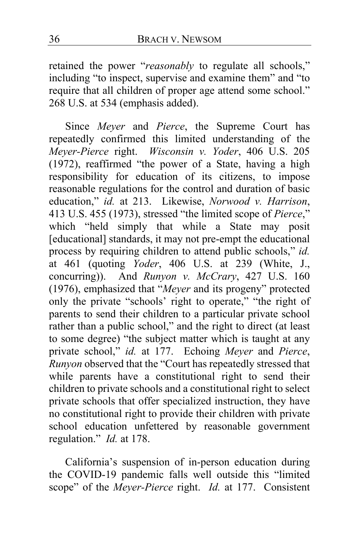retained the power "*reasonably* to regulate all schools," including "to inspect, supervise and examine them" and "to require that all children of proper age attend some school." 268 U.S. at 534 (emphasis added).

Since *Meyer* and *Pierce*, the Supreme Court has repeatedly confirmed this limited understanding of the *Meyer-Pierce* right. *Wisconsin v. Yoder*, 406 U.S. 205 (1972), reaffirmed "the power of a State, having a high responsibility for education of its citizens, to impose reasonable regulations for the control and duration of basic education," *id.* at 213. Likewise, *Norwood v. Harrison*, 413 U.S. 455 (1973), stressed "the limited scope of *Pierce*," which "held simply that while a State may posit [educational] standards, it may not pre-empt the educational process by requiring children to attend public schools," *id.*  at 461 (quoting *Yoder*, 406 U.S. at 239 (White, J., concurring)). And *Runyon v. McCrary*, 427 U.S. 160 (1976), emphasized that "*Meyer* and its progeny" protected only the private "schools' right to operate," "the right of parents to send their children to a particular private school rather than a public school," and the right to direct (at least to some degree) "the subject matter which is taught at any private school," *id.* at 177. Echoing *Meyer* and *Pierce*, *Runyon* observed that the "Court has repeatedly stressed that while parents have a constitutional right to send their children to private schools and a constitutional right to select private schools that offer specialized instruction, they have no constitutional right to provide their children with private school education unfettered by reasonable government regulation." *Id.* at 178.

California's suspension of in-person education during the COVID-19 pandemic falls well outside this "limited scope" of the *Meyer-Pierce* right. *Id.* at 177. Consistent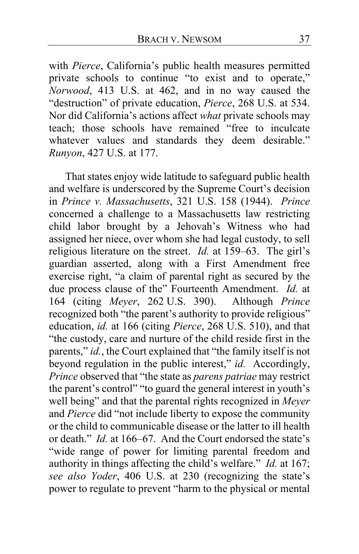with *Pierce*, California's public health measures permitted private schools to continue "to exist and to operate," *Norwood*, 413 U.S. at 462, and in no way caused the "destruction" of private education, *Pierce*, 268 U.S. at 534. Nor did California's actions affect *what* private schools may teach; those schools have remained "free to inculcate whatever values and standards they deem desirable." *Runyon*, 427 U.S. at 177.

That states enjoy wide latitude to safeguard public health and welfare is underscored by the Supreme Court's decision in *Prince v. Massachusetts*, 321 U.S. 158 (1944). *Prince*  concerned a challenge to a Massachusetts law restricting child labor brought by a Jehovah's Witness who had assigned her niece, over whom she had legal custody, to sell religious literature on the street. *Id.* at 159–63. The girl's guardian asserted, along with a First Amendment free exercise right, "a claim of parental right as secured by the due process clause of the" Fourteenth Amendment. *Id.* at 164 (citing *Meyer*, 262 U.S. 390). Although *Prince* recognized both "the parent's authority to provide religious" education, *id.* at 166 (citing *Pierce*, 268 U.S. 510), and that "the custody, care and nurture of the child reside first in the parents," *id.*, the Court explained that "the family itself is not beyond regulation in the public interest," *id.* Accordingly, *Prince* observed that "the state as *parens patriae* may restrict the parent's control" "to guard the general interest in youth's well being" and that the parental rights recognized in *Meyer*  and *Pierce* did "not include liberty to expose the community or the child to communicable disease or the latter to ill health or death." *Id.* at 166–67. And the Court endorsed the state's "wide range of power for limiting parental freedom and authority in things affecting the child's welfare." *Id.* at 167; *see also Yoder*, 406 U.S. at 230 (recognizing the state's power to regulate to prevent "harm to the physical or mental